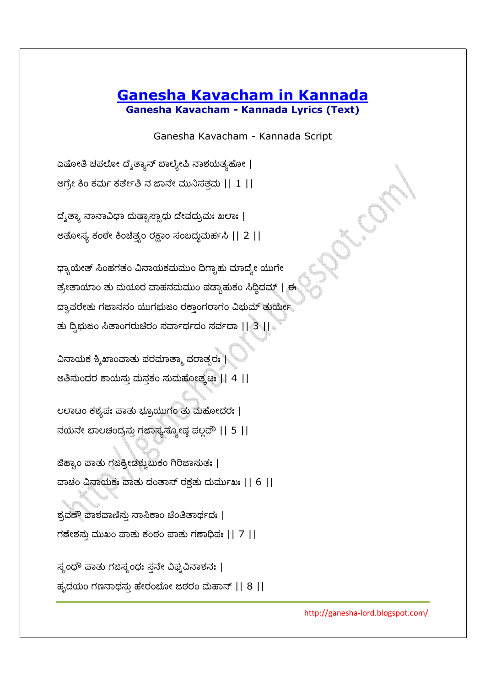## **Ganesha Kavacham in Kannada Ganesha Kavacham - Kannada Lyrics (Text)**

Ganesha Kavacham - Kannada Script

ಏಷೋತಿ ಚಪಲೋ ದೈತ್ಯಾನ್ ಬಾಲ್ಯೇಪಿ ನಾಶಯತ್ಯಹೋ | ಲಗ್ರೇ ಕಿಂ ಕರ್ಮ ಕರ್ತೇತಿ ನ ಜಾನೇ ಮುನಿಸತ್ತಮ  $|| 1 ||$ 

ದೈತ್ಯಾ ನಾನಾವಿಧಾ ದುಷ್ಟಾಸ್ಸಾಧು ದೇವದ್ರುಮಃ ಖಲಾಃ | ಅತೋಸ್ಯ ಕಂಠೇ ಕಿಂಚೆತ್ಯಂ ರಕ್ಷಾಂ ಸಂಬದ್ಧುಮರ್ಹಸಿ || 2 ||

ಧ್ಯಾಯೇತ್ ಸಿಂಹಗತಂ ವಿನಾಯಕಮಮುಂ ದಿಗ್ಬಾಹು ಮಾದ್ಯೇ ಯುಗೇ ತ್ರೇತಾಯಾಂ ತು ಮಯೂರ ವಾಹನಮಮುಂ ಷಡ್ಪಾಹುಕಂ ಸಿದ್ದಿದಮ್ | ಈ ದ್ವಾಪರೇತು ಗಜಾನನಂ ಯುಗಭುಜಂ ರಕ್ತಾಂಗರಾಗಂ ವಿಭುಮ್ ತುರ್ಯೇ ತು ದ್ವಿಭುಜಂ ಸಿತಾಂಗರುಚಿರಂ ಸರ್ವಾರ್ಥದಂ ಸರ್ವದಾ || 3 ||

 $\Delta$ ನಾಯಕ ಶ್ಮಿಖಾಂಪಾತು ಪರಮಾತ್ಮಾ ಪರಾತ್ಪರಃ | eತಿಸುಂದರ ಕಾಯಸ್ತು ಮಸ್ತಕಂ ಸುಮಹೋತ್ಕಟ: || 4 ||

ಲರಾಟಂ ಕಶ್ಯಪಃ ಪಾತು ಭ್ರೂಯುಗಂ ತು ಮಹೋದರಃ | ನಯನೇ ಬಾಲಚಂದ್ರಸ್ತು ಗಜಾಸ್ಯಸ್ತ್ಯೋಷ್ಠ ಪಲ್ಲವೌ || 5 ||

ಜಿಹ್ಕಾಂ ಪಾತು ಗಜಕ್ರೀಡಶ್ಚುಬುಕಂ ಗಿರಿಜಾಸುತಃ | ವಾಚಂ ವಿನಾಯಕಃ ಪಾತು ದಂತಾನ್ ರಕ್ಷತು ದುರ್ಮುಖಃ || 6 ||

ಶ್ರದಣೌ ಪಾಶಪಾಣಿಸ್ತು ನಾಸಿಕಾಂ ಚಿಂತಿತಾರ್ಥದಃ |  $\pi$  ಗಣೇಶಸು ಮುಖಂ ಪಾತು ಕಂಠಂ ಪಾತು ಗಣಾಧಿಪಃ || 7 ||

 $\vec{B}$ ಸ್ಕಂಧೌ ಪಾತು ಗಜಿಸ್ಕಂಧಃ ಸ್ತನೇ ವಿಘ್ನವಿನಾಶನಃ | ಹ್ರದಯಂ ಗಣನಾಥಸು ಹೇರಂಬೋ ಜಠರಂ ಮಹಾನ್  $|| 8 ||$ 

http://ganesha-lord.blogspot.com/

Action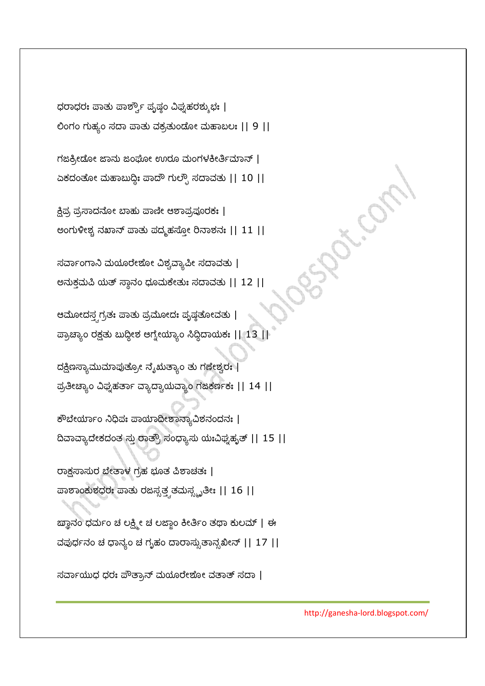Sept. Can

 $\vec{a}$ ರ್ವಾಯುಧ ಧರಃ ಪೌತ್ರಾನ್ ಮಯೂರೇಶೋ ವತಾತ್ ಸದಾ |

ಕೌಬೇರ್ಯಾಂ ನಿಧಿಪಃ ಪಾಯಾದೀಶಾನ್ಯಾವಿಶನಂದನಃ | ದಿವಾವ್ಯಾದೇಕದಂತ ಸ್ತು ರಾತ್ರೌ ಸಂಧ್ಯಾಸು ಯಃವಿಫ್ನಹೃತ್ || 15 || ರಾಕ್ಷಸಾಸುರ ಬೇತಾಳ ಗ್ರಹ ಭೂತ ಪಿಶಾಚತಃ | ಹಾಶಾಂಕುಶಧರಃ ಪಾತು ರಜಸ್ಸತ್ತ್ರತಮಸ್ಸ್ಬೃತೀಃ || 16 || ಙ್ಞಾನಂ ಧರ್ಮಂ ಚೆ ಲಕ್ಷ್ಮೀ ಚೆ ಲಜ್ಜಾಂ ಕೀರ್ತಿಂ ತಥಾ ಕುಲಮ್ | ಈ ವಪುರ್ಧನಂ ಚ ಧಾನ್ಯಂ ಚ ಗೃಹಂ ದಾರಾಸ್ಸುತಾನ್ಸಖೀನ್ || 17 ||

ದಕ್ಷಿಣಸ್ಯಾಮುಮಾಪುತ್ರೋ ನೈಋತ್ಯಾಂ ತು ಗಣೇಶ್ವರಃ | ಪ್ರತೀಚ್ಯಾಂ ವಿಫ್ನೆಹರ್ತಾ ವ್ಯಾದ್ವಾಯವ್ಯಾಂ ಗಜಿಕರ್ಣಕಃ || 14 ||

ಆಮೋದಸ್ತ್ವಗ್ರತಃ ಪಾತು ಪ್ರಮೋದಃ ಪೃಷ್ಠತೋದತು |  $\overline{\omega}$ ್ರಾಚ್ಯಾಂ ರಕ್ಷತು ಬುದ್ಧೀಶ ಆಗ್ನೇಯ್ಯಾಂ ಸಿದ್ಧಿದಾಯಕಃ || 13 ||

 $\vec{a}$ ರ್ವಾಂಗಾನಿ ಮಯೂರೇಶೋ ವಿಶ್ವವ್ಯಾಪೀ ಸದಾವತು | ಅನುಕ್ತಮಪಿ ಯತ್ ಸ್ಥಾನಂ ಧೂಮಕೇತುಃ ಸದಾವತು  $||$  12  $||$ 

ಕ್ಷಿಪ್ರ ಪ್ರಸಾದನೋ ಬಾಹು ಪಾಣೀ ಆಶಾಪ್ರಪೂರಕಃ | ಅಂಗುಳೀಶ್ಚ ನಖಾನ್ ಪಾತು ಪದ್ಮಹಸ್ತೋ ರಿನಾಶನಃ || 11 ||

ಗಜಿಕ್ರೀಡೋ ಜಾನು ಜಂಘೋ ಉರೂ ಮಂಗಳಕೀರ್ತಿಮಾನ್ | ಏಕದಂತೋ ಮಹಾಬುದ್ಧಿಃ ಪಾದೌ ಗುಲ್ಫೌ ಸದಾವತು || 10 ||

ಧರಾಧರಃ ಪಾತು ಪಾರ್ಶ್ವೌ ಪೃಷ್ಣಂ ವಿಘೃಹರಶ್ಶುಭಃ | ಲಿಂಗಂ ಗುಹ್ಯಂ ಸದಾ ಪಾತು ವಕ್ರತುಂಡೋ ಮಹಾಬಲಃ || 9 ||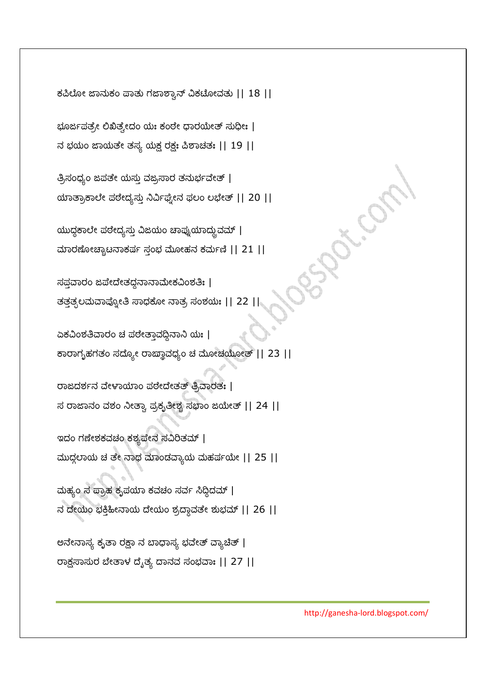ಕಪಿಲೋ ಜಾನುಕಂ ಪಾತು ಗಜಾಶ್ಕಾನ್ ವಿಕಟೋದತು || 18 ||

ಭೂರ್ಜಪತ್ರೇ ಲಿಖಿತ್ಸೇದಂ ಯಃ ಕಂಠೇ ಧಾರಯೇತ್ ಸುಧೀಃ |

ನ ಭಯಂ ಜಾಯತೇ ತಸ್ಯ ಯಕ್ಷ ರಕ್ಷಃ ಪಿಶಾಚತಃ || 19 ||

ತ್ರಿಸಂಧ್ಯಂ ಜಪತೇ ಯಸ್ತು ವಜ್ರಸಾರ ತನುರ್ಭವೇತ್ | ಯಾತ್ರಾಕಾಲೇ ಪಠೇದ್ಯಸ್ತು ನಿರ್ವಿಘ್ನೇನ ಫಲಂ ಲಭೇತ್ || 20 ||

ಯುದ್ಧಕಾಲೇ ಪಠೇದ್ಯಸ್ತು ವಿಜಯಂ ಚಾಪ್ನುಯಾದ್ದುವಮ್ | ಮಾರಣೋಚ್ಚಾಟನಾಕರ್ಷ ಸ್ತಂಭ ಮೋಹನ ಕರ್ಮಣಿ || 21 ||

ಸಪ್ತವಾರಂ ಜಪೇದೇತದ್ದನಾನಾಮೇಕವಿಂಶತಿಃ | ತತ್ತತ್ಫಲಮವಾಪ್ನೋತಿ ಸಾಧಕೋ ನಾತ್ರ ಸಂಶಯಃ || 22 ||

ಏಕವಿಂಶತಿವಾರಂ ಚ ಪಠೇತ್ತಾವದ್ದಿನಾನಿ ಯಃ | ಕಾರಾಗೃಹಗತಂ ಸದ್ಯೋ ರಾಜ್ಞಾವಧ್ಯಂ ಚ ಮೋಚಯೋತ್ || 23 ||

ರಾಜದರ್ಶನ ವೇಳಾಯಾಂ ಪಠೇದೇತತ್ ತ್ರಿವಾರತಃ | ಸ ರಾಜಾನಂ ವಶಂ ನೀತ್ವಾ ಪ್ರಕೃತೀಶ್ಚ ಸಭಾಂ ಜಯೇತ್ || 24 ||

ಇದಂ ಗಣೇಶಕವಚಂ ಕಶ್ಯಪೇನ ಸವಿರಿತಮ್ | ಮುದ್ಗಲಾಯ ಚೆ ತೇ ನಾಥ ಮಾಂಡವ್ಯಾಯ ಮಹರ್ಷಯೇ || 25 ||

ಮಹ್ಯಂ ಸ ಪ್ರಾಹ ಕೃಪಯಾ ಕವಚಂ ಸರ್ವ ಸಿದ್ಧಿದಮ್ | ನ ದೇಯಂ ಭಕ್ತಿಹೀನಾಯ ದೇಯಂ ಶ್ರದ್ಧಾವತೇ ಶುಭಮ್ || 26 ||

ಅನೇನಾಸ್ಯ ಕೃತಾ ರಕ್ಷಾ ನ ಬಾಧಾಸ್ಯ ಭವೇತ್ ವ್ಯಾಚಿತ್ | ರಾಕ್ಷಸಾಸುರ ಬೇತಾಳ ದೈತ್ಯ ದಾನವ ಸಂಭವಾ: || 27 ||

http://ganesha-lord.blogspot.com/

spiller